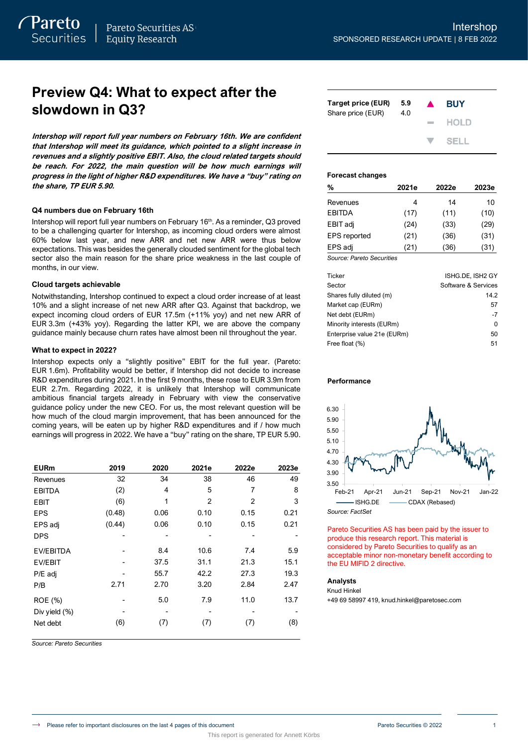# **Preview Q4: What to expect after the slowdown in Q3?**

**Intershop will report full year numbers on February 16th. We are confident that Intershop will meet its guidance, which pointed to a slight increase in revenues and a slightly positive EBIT. Also, the cloud related targets should be reach. For 2022, the main question will be how much earnings will progress in the light of higher R&D expenditures. We have a "buy" rating on the share, TP EUR 5.90.**

### **Q4 numbers due on February 16th**

Intershop will report full year numbers on February 16<sup>th</sup>. As a reminder, Q3 proved to be a challenging quarter for Intershop, as incoming cloud orders were almost 60% below last year, and new ARR and net new ARR were thus below expectations. This was besides the generally clouded sentiment for the global tech sector also the main reason for the share price weakness in the last couple of months, in our view.

### **Cloud targets achievable**

Notwithstanding, Intershop continued to expect a cloud order increase of at least 10% and a slight increase of net new ARR after Q3. Against that backdrop, we expect incoming cloud orders of EUR 17.5m (+11% yoy) and net new ARR of EUR 3.3m (+43% yoy). Regarding the latter KPI, we are above the company guidance mainly because churn rates have almost been nil throughout the year.

### **What to expect in 2022?**

Intershop expects only a "slightly positive" EBIT for the full year. (Pareto: EUR 1.6m). Profitability would be better, if Intershop did not decide to increase R&D expenditures during 2021. In the first 9 months, these rose to EUR 3.9m from EUR 2.7m. Regarding 2022, it is unlikely that Intershop will communicate ambitious financial targets already in February with view the conservative guidance policy under the new CEO. For us, the most relevant question will be how much of the cloud margin improvement, that has been announced for the coming years, will be eaten up by higher R&D expenditures and if / how much earnings will progress in 2022. We have a "buy" rating on the share, TP EUR 5.90.

| <b>EURm</b>      | 2019   | 2020 | 2021e | 2022e | 2023e |
|------------------|--------|------|-------|-------|-------|
| Revenues         | 32     | 34   | 38    | 46    | 49    |
| <b>EBITDA</b>    | (2)    | 4    | 5     | 7     | 8     |
| EBIT             | (6)    | 1    | 2     | 2     | 3     |
| <b>EPS</b>       | (0.48) | 0.06 | 0.10  | 0.15  | 0.21  |
| EPS adj          | (0.44) | 0.06 | 0.10  | 0.15  | 0.21  |
| <b>DPS</b>       |        |      |       |       |       |
| <b>EV/EBITDA</b> |        | 8.4  | 10.6  | 7.4   | 5.9   |
| <b>EV/EBIT</b>   |        | 37.5 | 31.1  | 21.3  | 15.1  |
| P/E adj          |        | 55.7 | 42.2  | 27.3  | 19.3  |
| P/B              | 2.71   | 2.70 | 3.20  | 2.84  | 2.47  |
| ROE (%)          |        | 5.0  | 7.9   | 11.0  | 13.7  |
| Div yield (%)    |        |      |       |       |       |
| Net debt         | (6)    | (7)  | (7)   | (7)   | (8)   |

*Source: Pareto Securities*

| Target price (EUR)<br>Share price (EUR) | 5.9<br>4.0 | $\blacktriangle$ | <b>BUY</b>  |
|-----------------------------------------|------------|------------------|-------------|
|                                         |            | the control      | <b>HOLD</b> |
|                                         |            |                  | V SELL      |

### **Forecast changes**

| %                   | 2021e | 2022e | 2023e |
|---------------------|-------|-------|-------|
| Revenues            | 4     | 14    | 10    |
| <b>EBITDA</b>       | (17)  | (11)  | (10)  |
| EBIT adj            | (24)  | (33)  | (29)  |
| <b>EPS</b> reported | (21)  | (36)  | (31)  |
| EPS adj             | (21)  | (36)  | (31)  |
| $\sim$              |       |       |       |

*Source: Pareto Securities*

| Ticker                      | ISHG.DE. ISH2 GY    |
|-----------------------------|---------------------|
| Sector                      | Software & Services |
| Shares fully diluted (m)    | 14.2                |
| Market cap (EURm)           | 57                  |
| Net debt (EURm)             | $-7$                |
| Minority interests (EURm)   | O                   |
| Enterprise value 21e (EURm) | 50                  |
| Free float (%)              | 51                  |

### **Performance**



Pareto Securities AS has been paid by the issuer to produce this research report. This material is considered by Pareto Securities to qualify as an acceptable minor non-monetary benefit according to the EU MIFID 2 directive.

### **Analysts**

Knud Hinkel +49 69 58997 419, knud.hinkel@paretosec.com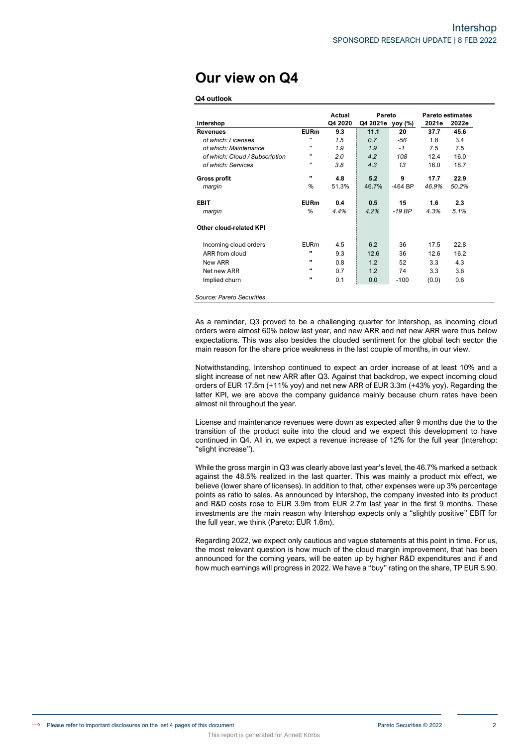# **Our view on Q4**

### **Q4 outlook**

|                                |                   | Actual  | Pareto           |           |       | <b>Pareto estimates</b> |
|--------------------------------|-------------------|---------|------------------|-----------|-------|-------------------------|
| Intershop                      |                   | Q4 2020 | Q4 2021e yoy (%) |           | 2021e | 2022e                   |
| <b>Revenues</b>                | <b>EURm</b>       | 9.3     | 11.1             | 20        | 37.7  | 45.6                    |
| of which: Licenses             | $^{\prime\prime}$ | 1.5     | 0.7              | $-56$     | 1.8   | 3.4                     |
| of which: Maintenance          | $^{\prime\prime}$ | 1.9     | 1.9              | $-1$      | 7.5   | 7.5                     |
| of which: Cloud / Subscription | "                 | 2.0     | 4.2              | 108       | 12.4  | 16.0                    |
| of which: Services             | $^{\prime\prime}$ | 3.8     | 4.3              | 13        | 16.0  | 18.7                    |
| <b>Gross profit</b>            |                   | 4.8     | 5.2              | 9         | 17.7  | 22.9                    |
| margin                         | %                 | 51.3%   | 46.7%            | $-464$ BP | 46.9% | 50.2%                   |
| <b>EBIT</b>                    | <b>EURm</b>       | 0.4     | 0.5              | 15        | 1.6   | 2.3                     |
| margin                         | %                 | 4.4%    | 4.2%             | $-19BP$   | 4.3%  | 5.1%                    |
| Other cloud-related KPI        |                   |         |                  |           |       |                         |
| Incoming cloud orders          | <b>EURm</b>       | 4.5     | 6.2              | 36        | 17.5  | 22.8                    |
| ARR from cloud                 |                   | 9.3     | 12.6             | 36        | 12.6  | 16.2                    |
| New ARR                        |                   | 0.8     | 1.2              | 52        | 3.3   | 4.3                     |
| Net new ARR                    |                   | 0.7     | 1.2              | 74        | 3.3   | 3.6                     |
| Implied churn                  |                   | 0.1     | 0.0              | $-100$    | (0.0) | 0.6                     |

*Source: Pareto Securities*

As a reminder, Q3 proved to be a challenging quarter for Intershop, as incoming cloud orders were almost 60% below last year, and new ARR and net new ARR were thus below expectations. This was also besides the clouded sentiment for the global tech sector the main reason for the share price weakness in the last couple of months, in our view.

Notwithstanding, Intershop continued to expect an order increase of at least 10% and a slight increase of net new ARR after Q3. Against that backdrop, we expect incoming cloud orders of EUR 17.5m (+11% yoy) and net new ARR of EUR 3.3m (+43% yoy). Regarding the latter KPI, we are above the company guidance mainly because churn rates have been almost nil throughout the year.

License and maintenance revenues were down as expected after 9 months due the to the transition of the product suite into the cloud and we expect this development to have continued in Q4. All in, we expect a revenue increase of 12% for the full year (Intershop: "slight increase").

While the gross margin in Q3 was clearly above last year's level, the 46.7% marked a setback against the 48.5% realized in the last quarter. This was mainly a product mix effect, we believe (lower share of licenses). In addition to that, other expenses were up 3% percentage points as ratio to sales. As announced by Intershop, the company invested into its product and R&D costs rose to EUR 3.9m from EUR 2.7m last year in the first 9 months. These investments are the main reason why Intershop expects only a "slightly positive" EBIT for the full year, we think (Pareto: EUR 1.6m).

Regarding 2022, we expect only cautious and vague statements at this point in time. For us, the most relevant question is how much of the cloud margin improvement, that has been announced for the coming years, will be eaten up by higher R&D expenditures and if and how much earnings will progress in 2022. We have a "buy" rating on the share, TP EUR 5.90.

This report is generated for Annett Körbs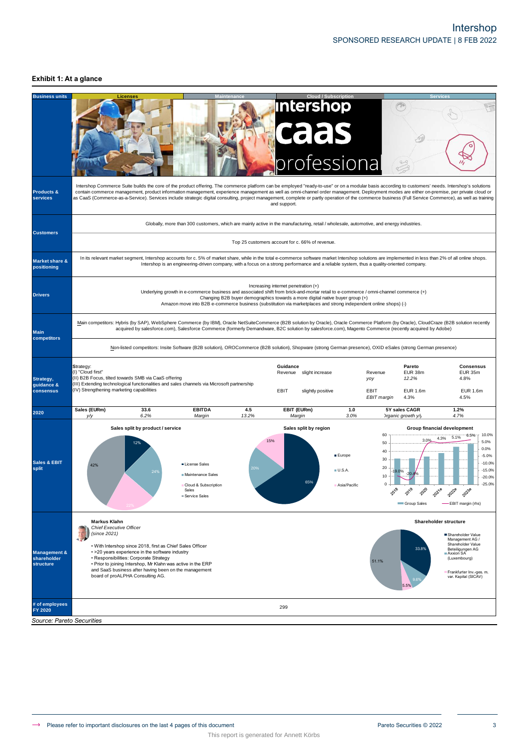# Intershop SPONSORED RESEARCH UPDATE | 8 FEB 2022

## **Exhibit 1: At a glance**

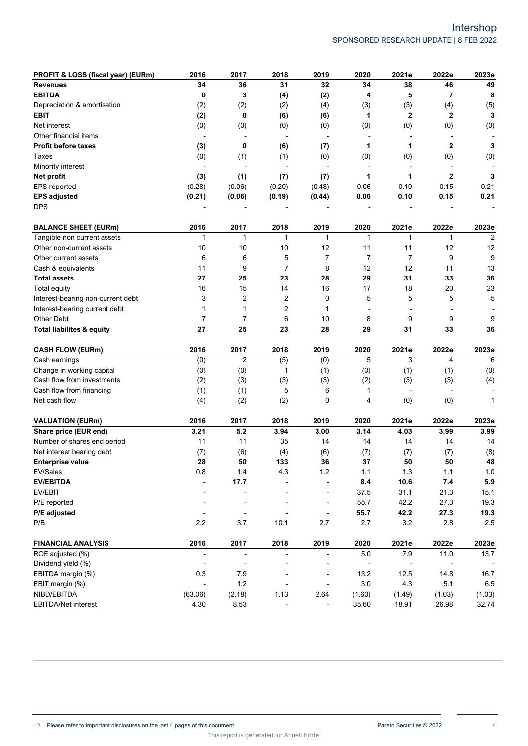| PROFIT & LOSS (fiscal year) (EURm)   | 2016                     | 2017                     | 2018                     | 2019                     | 2020                     | 2021e                    | 2022e                    | 2023e          |
|--------------------------------------|--------------------------|--------------------------|--------------------------|--------------------------|--------------------------|--------------------------|--------------------------|----------------|
| <b>Revenues</b>                      | 34                       | 36                       | 31                       | 32                       | 34                       | 38                       | 46                       | 49             |
| <b>EBITDA</b>                        | 0                        | 3                        | (4)                      | (2)                      | 4                        | 5                        | 7                        | 8              |
| Depreciation & amortisation          | (2)                      | (2)                      | (2)                      | (4)                      | (3)                      | (3)                      | (4)                      | (5)            |
| <b>EBIT</b>                          | (2)                      | 0                        | (6)                      | (6)                      | 1                        | $\mathbf 2$              | $\mathbf 2$              | 3              |
| Net interest                         | (0)                      | (0)                      | (0)                      | (0)                      | (0)                      | (0)                      | (0)                      | (0)            |
| Other financial items                | $\overline{\phantom{a}}$ | $\overline{\phantom{a}}$ | $\overline{\phantom{a}}$ | $\overline{\phantom{a}}$ | $\overline{\phantom{a}}$ | $\overline{\phantom{a}}$ | $\overline{\phantom{a}}$ |                |
| <b>Profit before taxes</b>           | (3)                      | 0                        | (6)                      | (7)                      | 1                        | 1                        | $\mathbf 2$              | 3              |
| Taxes                                | (0)                      | (1)                      | (1)                      | (0)                      | (0)                      | (0)                      | (0)                      | (0)            |
| Minority interest                    | $\overline{a}$           |                          |                          | $\overline{\phantom{a}}$ | $\overline{\phantom{a}}$ |                          |                          |                |
| Net profit                           | (3)                      | (1)                      | (7)                      | (7)                      | 1                        | 1                        | $\mathbf{2}$             | 3              |
| EPS reported                         | (0.28)                   | (0.06)                   | (0.20)                   | (0.48)                   | 0.06                     | 0.10                     | 0.15                     | 0.21           |
| <b>EPS adjusted</b>                  | (0.21)                   | (0.06)                   | (0.19)                   | (0.44)                   | 0.06                     | 0.10                     | 0.15                     | 0.21           |
| <b>DPS</b>                           |                          |                          |                          |                          |                          |                          |                          |                |
| <b>BALANCE SHEET (EURm)</b>          | 2016                     | 2017                     | 2018                     | 2019                     | 2020                     | 2021e                    | 2022e                    | 2023e          |
| Tangible non current assets          | 1                        | $\mathbf{1}$             | $\mathbf{1}$             | 1                        | 1                        | $\mathbf{1}$             | 1                        | $\overline{2}$ |
| Other non-current assets             | 10                       | 10                       | 10                       | 12                       | 11                       | 11                       | 12                       | 12             |
| Other current assets                 | 6                        | 6                        | 5                        | 7                        | $\overline{7}$           | $\overline{7}$           | 9                        | 9              |
| Cash & equivalents                   | 11                       | 9                        | $\overline{7}$           | 8                        | 12                       | 12                       | 11                       | 13             |
| <b>Total assets</b>                  | 27                       | 25                       | 23                       | 28                       | 29                       | 31                       | 33                       | 36             |
| <b>Total equity</b>                  | 16                       | 15                       | 14                       | 16                       | 17                       | 18                       | 20                       | 23             |
| Interest-bearing non-current debt    | 3                        | 2                        | 2                        | 0                        | 5                        | 5                        | 5                        | 5              |
| Interest-bearing current debt        | 1                        | $\mathbf{1}$             | 2                        | 1                        |                          |                          |                          |                |
| Other Debt                           | $\overline{7}$           | $\overline{7}$           | 6                        | 10                       | 8                        | 9                        | 9                        | 9              |
| <b>Total liabilites &amp; equity</b> | 27                       | 25                       | 23                       | 28                       | 29                       | 31                       | 33                       | 36             |
| <b>CASH FLOW (EURm)</b>              | 2016                     | 2017                     | 2018                     | 2019                     | 2020                     | 2021e                    | 2022e                    | 2023e          |
| Cash earnings                        | (0)                      | $\overline{2}$           | (5)                      | (0)                      | 5                        | 3                        | $\overline{4}$           | 6              |
| Change in working capital            | (0)                      | (0)                      | 1                        | (1)                      | (0)                      | (1)                      | (1)                      | (0)            |
| Cash flow from investments           | (2)                      | (3)                      | (3)                      | (3)                      | (2)                      | (3)                      | (3)                      | (4)            |
| Cash flow from financing             | (1)                      | (1)                      | 5                        | 6                        | 1                        | $\overline{\phantom{a}}$ | $\overline{\phantom{a}}$ |                |
| Net cash flow                        | (4)                      | (2)                      | (2)                      | 0                        | 4                        | (0)                      | (0)                      | 1              |
| <b>VALUATION (EURm)</b>              | 2016                     | 2017                     | 2018                     | 2019                     | 2020                     | 2021e                    | 2022e                    | 2023e          |
| Share price (EUR end)                | 3.21                     | 5.2                      | 3.94                     | 3.00                     | 3.14                     | 4.03                     | 3.99                     | 3.99           |
| Number of shares end period          | 11                       | 11                       | 35                       | 14                       | 14                       | 14                       | 14                       | 14             |
| Net interest bearing debt            | (7)                      | (6)                      | (4)                      | (6)                      | (7)                      | (7)                      | (7)                      | (8)            |
| <b>Enterprise value</b>              | 28                       | 50                       | 133                      | 36                       | 37                       | 50                       | 50                       | 48             |
| EV/Sales                             | 0.8                      | $1.4$                    | 4.3                      | 1.2                      | 1.1                      | 1.3                      | $1.1$                    | $1.0$          |
| <b>EV/EBITDA</b>                     |                          | 17.7                     |                          |                          | 8.4                      | 10.6                     | $7.4$                    | 5.9            |
| EV/EBIT                              |                          | $\overline{a}$           |                          | $\overline{a}$           | 37.5                     | 31.1                     | 21.3                     | 15.1           |
| P/E reported                         |                          | $\overline{\phantom{a}}$ |                          | $\overline{a}$           | 55.7                     | 42.2                     | 27.3                     | 19.3           |
| P/E adjusted                         |                          | $\blacksquare$           |                          | ä,                       | 55.7                     | 42.2                     | 27.3                     | 19.3           |
| P/B                                  | 2.2                      | $3.7\,$                  | 10.1                     | 2.7                      | 2.7                      | 3.2                      | 2.8                      | 2.5            |
| <b>FINANCIAL ANALYSIS</b>            | 2016                     | 2017                     | 2018                     | 2019                     | 2020                     | 2021e                    | 2022e                    | 2023e          |
| ROE adjusted (%)                     | $\overline{\phantom{a}}$ | $\overline{\phantom{a}}$ | $\overline{\phantom{a}}$ | $\frac{1}{2}$            | $5.0\,$                  | 7.9                      | 11.0                     | 13.7           |
| Dividend yield (%)                   | $\overline{a}$           | $\overline{\phantom{a}}$ |                          | -                        | $\overline{\phantom{a}}$ |                          |                          |                |
| EBITDA margin (%)                    | 0.3                      | 7.9                      |                          | $\overline{a}$           | 13.2                     | 12.5                     | 14.8                     | 16.7           |
| EBIT margin (%)                      | $\blacksquare$           | 1.2                      |                          | $\overline{a}$           | $3.0\,$                  | 4.3                      | 5.1                      | 6.5            |
| NIBD/EBITDA                          | (63.06)                  | (2.18)                   | 1.13                     | 2.64                     | (1.60)                   | (1.49)                   | (1.03)                   | (1.03)         |
| EBITDA/Net interest                  | 4.30                     | 8.53                     |                          |                          | 35.60                    | 18.91                    | 26.98                    | 32.74          |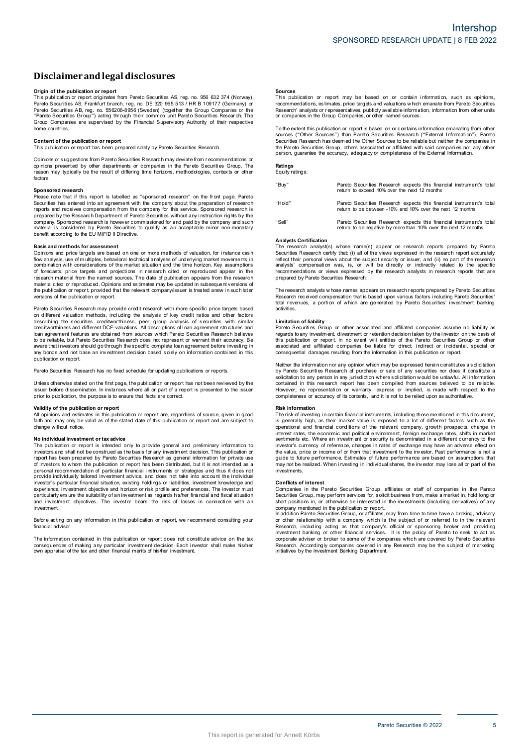# **Disclaimerandlegal disclosures Disclaimer and legal disclosures<br>Origin of the publication or report<br>This publication or report originates from Pareto Securities AS, reg. no. 956 632 374 (Norway),**

**DISCIAIMET AND LEGAL DISCIOSUTES**<br>Prigin of the publication or report<br>This publication or report orginates from Pareto Securities AS, reg. no. 956 632 374 (Norway)<br>Pareto Securities AS, Frankfurt branch, reg. no. DE 320 9 Pareto Securities AB, reg. no. 556206-8956 (Sweden) (together the Group Companies or the **Origin of the publication or report**<br>This publication or report originates from Pareto Securities AS, reg. no. 956 632 374 (Norway)<br>Pareto Securities AS, Frankfurt branch, reg. no. DE 320 965 513 / HR B 109177 (Germany) o home countries. **Content of the publication or report**<br> **Content of the publication or report**<br> **Content of the publication or report**<br> **Content of the publication or report**<br> **This publication or report**<br> **This publication or report**<br> **C** 

Content of the publication or report<br>This publication or report has been prepared solely by Pareto Securities Research.<br>Opinions or suggestions from Pareto Securities Research may deviate from recommendations or **Content of the publication or report**<br>This publication or report has been prepared solely by Pareto Securities Research.<br>Opinions or suggestions from Pareto Securities Research may deviate from recommendations or<br>perinons factors.

### **Sponsored research**

Please note that if this report is labelled as "sponsored research" on the front page, Pareto Factors.<br> **Sponsored research**<br>
Please note that if this report is labelled as "sponsored research" on the front page, Pareto<br>
Securities has entered into an agreement with the company about the preparation of research<br>
re prepara and price targets are based of the securities to n one or more company. Sponsored research is however commissioned for and paid by the company and such material is considered by Pareto Securities to qualify as an a

**Basis and methods for assessment**<br>Opinions and price targets are based on one or more methods of valuation, for instance cash flow analysis, use of m ultiples, behavioral technical analyses o f underlying market movements i n Basis and methods for assessment<br>Opinions and price targets are based on one or more methods of valuation, for instance cash<br>flow analysis, use of multiples, behavioral technical analyses of underlying market movements in<br> research material from the named sources. The date of publication appears from the research material cited or reproduced. Opinions and estimates may be updated in subsequent versions of Finance and the publications of the market isluation and the time horizon. Key assumptions combination with considerations of the market situation and the time horizon. Key assumptions of ofroecasts, price targets and proj versions of the publication or report.

Pareto Securities Research may provide credit research with more specific price targets based on different valuation methods, including the analysis of key credit ratios and other factors on different valuation or report, provided that the relevant company/issuer is treated anew in such later<br>versions of the publication or report.<br>Pareto Securities Research may provide credit research with more specific pri Persions of the publication or report.<br>Pareto Securities Research may provide credit research with more specific price targets based<br>on different valuation methods, including the analysis of key credit ratios and other fac publication or report.

Pareto Securities Research has no fixed schedule for updating publications or reports.

publication or report.<br>Pareto Securities Research has no fixed schedule for updating publications or reports.<br>Unless otherwise stated on the first page, the publication or report has not been reviewed by the<br>issuer before Unless otherwise stated on the first passer before dissemination. In instand<br>prior to publication, the purpose is to<br>**Validity of the publication or report**<br>All opinions and estimates in this put

Sissuer before dissemination. In instances where all or part of a report is presented to the issuer<br>prior to publication, the purpose is to ensure that facts are correct.<br>**Validity of the publication or report**<br>All opinion change without notice. **N optimize that the publication or report are, regardless of source, given in good faith and may only be valid as of the stated date of this publication or report and are subject to change without notice.<br>
<b>No individual** 

incriangle without notice.<br> **No individual investment or tax advice**<br>
The publication or report is intended only to provide general and preliminary information to<br>
investors and shall not be construed as the basis for any No individual investment or tax advice<br>The publication or report is intended only to provide general and preliminary information to<br>investors and shall not be construed as the basis for any investment decision. This public or investor is particularly tailored investment as been used to take into account the individual<br>provide individually tailored investment advice, and does not take into account the individual<br>investor's particular financia investment. and investment objectives. The investor bears the risk of losses in connection with an

financial advisor Before acting on any information in this publication or report, we recommend consulting your<br>financial advisor.<br>The information contained in this publication or report does not constitute advice on the tax

Before acting on any information in this publication or report, we recommend consulting your<br>financial advisor.<br>Consequences of making any particular investment decision. Each investor shall make his/her<br>consequences of ma

#### **Sources**

**Sources**<br>This publication or report may be based on or contain information, such as opinions,<br>recommendations, estimates, price targets and valuations which emanate from Pareto Securities<br>Research' analysts or representat **Sources**<br>This publication or report may be based on or contain<br>recommendations, estimates, price targets and valuations which<br>Research' analysts or representatives, publicly available informa<br>or companies in the Group Com The extent this publication or report is based on or contains which emanate from Pareto Securities<br>
Research' analysts or representatives, publicly available information, information from other units<br>
or companies in the G

To the extent this publication or report is based on or contains information emanating from other<br>Sources ("Other Sources") than Pareto Securities Research ("External Information"), Pareto<br>Securities Research has deem ed t the extent this publication or report is based on or contains information emanating from other<br>sources ("Other Sources") than Pareto Securities Research ("External Information"), Pareto<br>Securities Research has deem ed the

## **Ratings** Equity ratings:

"Buy" Pareto Securities Research expects this financial instrument's total return to exceed 10% over the next 12 months "Hold" Pareto Securities Research expects this financial instrument's total Pareto Securities Research expects this financial instrume<br>return to exceed 10% over the next 12 months<br>Pareto Securities Research expects this financial instrume<br>return to be between -10% and 10% over the next 12 months "Sell" Pareto Securities Research expects this financial instrument's total Pareto Securities Research expects this financial instrument's<br>return to be between -10% and 10% over the next 12 months<br>Pareto Securities Research expects this financial instrument's<br>return to be negative by more than 10%

#### **Analysts Certification**

The research analyst(s) whose name(s) appear on research reports prepared by Pareto Securities Research certify that: (i) all of the views expressed in the research report accurately reflect their personal views about the subject security or issuer, and (ii) no part of the research Analysts Certification<br>The research analyst(s) whose name(s) appear on research reports prepared by Pareto<br>Securities Research certify that (i) all of the views expressed in the research report accurately<br>reflect their per The research analysts whose names appears on research analysts in research reports that are<br>prepared by Pareto Securities Research.<br>The research analysts whose names appears on research reports prepared by Pareto Securitie

recommendations or views expressed by the research analysts in research reports that are<br>prepared by Pareto Securities Research.<br>The research analysts whose names appears on research reports prepared by Pareto Securities<br>t activities. **Limitation**<br>**Research received** contains the field of the activities.<br>**Limitation of liability**<br>**Pareto Securities** Gr

In the control of liability<br>
activities.<br>
Limitation of liability<br>
Pareto Securities Croup or other associated and affiliated companies assume no liability<br>
Pareto Securities Group or other associated and affiliated compan

regions to any investment, any cover will entitle of the Pareto Securities Group or other<br>this publication or report. In no event will entitle sof the Pareto Securities Group or other<br>associated and affiliated companies be solicitation to any person in any jurisdiction where solicitation would be unlawful. All information contained in this research report has been compiled from sources believed to be reliable.<br>However, no representation or w

#### **Risk information**

However, no representation or warranty, express or implied, is made with respect to the<br>completeness or accuracy of its contents, and it is not to be relied upon as authoritative.<br> **Risk information**<br>
The risk of investing inversional and financial conditions of the relevant company, growth prospects, change in interest rates, the economic and political environment, foreign exchange rates, shifts in market semtiments etc. Where an investor's operational and financial conditions of the relevant company, growth prospects, change in interest rates, the economic and political environment, foreign exchange rates, shifts in market sentiments etc. Where an investment marks the content and publication of security is denominated in a different currency to the investor's currency of reference, changes in rates of exchange may have an adverse effect on the value, price or income of or from investments. **Conflicts of the conflicts**<br> **Conflicts** of **interest**<br> **Conflicts** of **interest**<br> **Conflicts** of **interest** 

may not be realized. When investing in individual shares, the investor may lose all or part of the<br>investments.<br>Conflicts of interest<br>Comparises in the Pareto Securities Group, affiliates or staff of companies in the Paret

Companies in the Pareto Securities Group, affiliates or staff of companies in the Pareto Securities Group, may perform services for, solicit business from, make a market in, hold long or short positions in, or otherwise be Accordingly company which is the subject of or referred to in the relevant<br>Research, including acting as that company's official or sponsoring broker and providing<br>investment banking or other financial services. It is the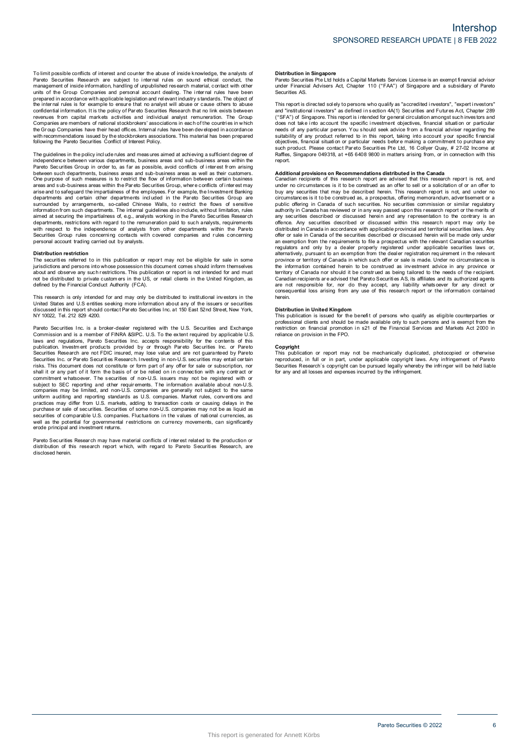To limit possible conflicts of interest and counter the abuse of inside knowledge, the analysts of<br>Pareto Securities Research are subject to internal rules on sound ethical conduct, the<br>management of inside information, ha To limit possible conflicts of interest and counter the abuse of inside knowledge, the analysts of Pareto Securities Research are subject to internal rules on sound ethical conduct, the management of inside information, ha revenues from capital markets activities and individual analyst remuneration. The Group and or the Chapter of the price with applicable legislation and relevant industry standards. The object of the internal rules is for example to ensure that no analyst will abuse or cause others to abuse the internal rules following the Pareto Securities Conflict of Interest Policy. The guidelines in the policy include the social conducts in the policy of the proportion and the proportion and measures with recommendations issued by the stockbrokers associations. This material has been prepared followi

independence between various departments, business areas and sub-business areas within the<br>Pareto Securities Group in order to, as far as possible, avoid conflicts of interest from arising With recommendance is used of the Pareto Securities Conflict of Interest Policy.<br>The guidelines in the policy include rules and measures aimed at achieving a sufficient degree of<br>pareto Securities Group in order to, as far between such departments, business areas and sub-business areas as well as their customers. The guidelines in the policy include rules and measures aimed at achieving a sufficient degree of independence between various departments, business areas and sub-business areas within the between such departments, busines Pareto Securities Group in order to, as far as possible, avoid conflicts of interest from arising<br>between such departments, business areas and sub-business areas as well as their customers.<br>One purpose of such measures is arias and to safeguard the impartialness of the employees. For example, the linvestment Banking departments and certain other departments included in the Pareto Securities Group are surrounded by arrangements, so-called Ch with respect to the independence of analysts from other departments within the Pareto Securities Group rules Group rules Concerning in the Companies of the concerning of the contact without limitation, rules aimed at securiting the impartialness of, e.g., analysts working in the Pareto Securities Research d The securities Group rules concerning contacts with covered companies and rules concerning<br>personal account trading carried out by analysts.<br>**Distribution restriction**<br>The securities referred to in this publication or repo

#### **Distribution restriction**

personal account trading carried out by analysts.<br>Distribution restriction<br>The securities referred to in this publication or report may not be eligible for sale in some<br>jurisdictions and persons into whose possession this Distribution restriction<br>The securities referred to in this publication or report may not be eligible for sale in some<br>ilurisdictions and persons into whose possession this document comes should inform themselves<br>about and This research is only intended for and music procedure in the US, or retail clients in the United Kingdom, as<br>not be distributed to private customers in the US, or retail clients in the United Kingdom, as<br>defined by the Fi

United States and U.S entities seeking more information about any of the issuers or securities Note that the britancial Conduct Authority (FCA).<br>This research is only intended for and may only be distributed to institutional investors in the<br>United States and U.S entities seking more information about any of the iss Pareto Securities Inc. is a broker-dealer registered with the U.S. Securities and U.S entities and L.S. and registered with the U.S. Securities and Exchange<br>Commission and is a member of FINRA &SIPC. U.S. To the extent req

laws and regulations, Pareto Securities Inc. accepts responsibility for the contents of this Pareto Securities Inc. a la abroker-dealer registered with the U.S. Securities and Exchange<br>Commission and is a member of FINRA &SIPC. U.S. To the extent required by applicable U.S<br>Idwas and regulations, Pareto Securities Securities Research are not FDIC insured, may lose value and are not guaranteed by Pareto<br>Securities Research are not FDIC insured, may lose value and are not guaranteed by Pareto<br>Securities Inc. or Pareto Securities Resea commitment whatsoever. The securities of non-U.S. issuers may not be registered with or subject to SEC reporting and other requirements. The information available about non-U.S. companies may be limited, and non-U.S. compa securities of comparies may be limited, and non-U.S. companies are generally not subject to the same<br>uniform auditing and reporting standards as U.S. companies. Market rules, conventions and<br>practices may differ form U.S. erode principal and investment returns. Pareto Securities of comparable U.S. comparies. Fluctuations in the values of rational currencies, as<br>well as the potential for governmental restrictions on currency movements, can significantly<br>erode principal and investm

disclosed herein.

### **Distribution in Singapore**

Distribution in Singapore<br>Pareto Securities Pte Ltd holds a Capital Markets Services License is an exempt financial advisor<br>under Financial Advisers Act, Chapter 110 ("FAA") of Singapore and a subsidiary of Pareto under Financial Advisers Act, Chapter 110 ("FAA") of Singapore and a subsidiary of Pareto Securities AS. Pareto Securities Pte Ltd holds a Capital Markets Services License is an exempt financial advisor<br>under Financial Advisers Act, Chapter 110 ("FAA") of Singapore and a subsidiary of Pareto<br>Securities AS.<br>This report is dire

ration conditions and a subsidiary of Parent uncertained solutions and a subsidiary of Parent<br>securities AS.<br>This report is directed solely to persons who qualify as "accredited investors", "expert investors"<br>and "institut and "institutional investors" as defined in section 4A(1) Securities and Futures Act, Chapter 289<br>("SFA") of Singapore. This report is intended for general circulation amongst such investors and<br>("SFA") of Singapore. This report.

such product. Please contact Pareto Securities Pte Ltd, 16 Collyer Quay, # 27-02 Income at Raffles, Singapore 049318, at +65 6408 9800 in matters arising from, or in connection with this report.<br> **Additional provisions on** under no circumstances is it to be construed as an offer to sell or a solicitation of or an offer to buy any securities that may be described herein. This research report is not, and under no circumstances is it to be cons under no circumstances is it to be construed as an offer to sell or a solicitation of or an offer to<br>buy any securities that may be described herein. This research report is not, and under no<br>circumstances is it to be cons any offerice. Any securities described or discussed within this research report may only be<br>distributed in Canada in accordance with applicable provincial and territorial securities laws. Any<br>offer or sale in Canada of the province or territory of Canada in which such offer or sale is made. Under no circumstances is<br>the information contained herein to be construed as being tailored to the needs of the recipient.<br>Carritory of Canada nor shoul province or territory of Canada in which such offer or sale is made. Under no circumstances is the information contained herein to be construed as being tailored to the needs of the recipient. Canadian recipients are advis herein.

#### **Distribution in United Kingdom**

consequential loss arising from any use of this research report or the information contained<br>herein.<br>**Distribution in United Kingdom**<br>This publication is issued for the benefit of persons who qualify as eligible counterpar professional clients and should be made available only to such persons and is exempt from the restriction on financial promotion in s21 of the Financial Services and Markets Act 2000 in reliance on provision in the FPO.<br>Co

#### **Copyright**

reliance on provision in the FPO.<br> **Copyright**<br>
This publication or report may not be mechanically duplicated, photocopied or otherwise<br>
reproduced, in full or in part, under applicable copyright laws. Any infringement of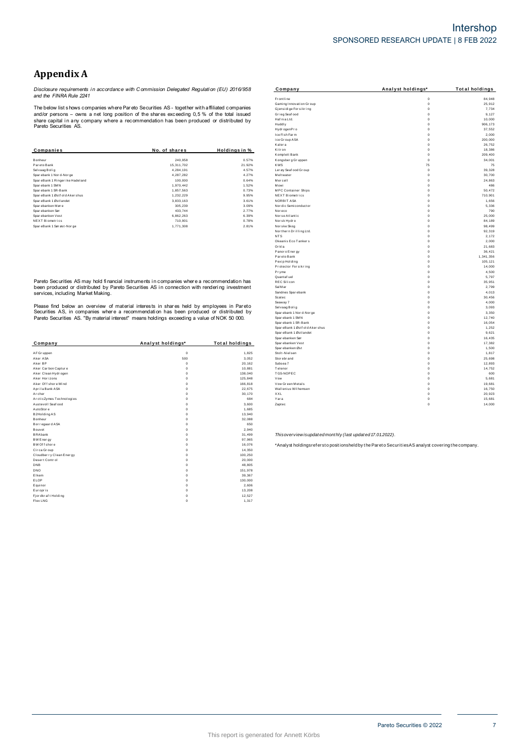# **Appendix A**

*Disclosure requirements i n accordance with C ommission Delegated Regulati on (EU) 2016/958 and the FINRA Rule 2241*

|                                 |               |               | Kalera                 | $^{\circ}$  |
|---------------------------------|---------------|---------------|------------------------|-------------|
| Companies                       | No. of shares | Holdings in % | Kitron                 | $\mathbf 0$ |
|                                 |               |               | Komplett Bank          | $\mathbf 0$ |
| Bonheur                         | 240,958       | 0.57%         | Kongsberg Gruppen      | $^{\circ}$  |
| Pareto Bank                     | 15,311,702    | 21.92%        | <b>KWS</b>             | 75          |
| Selvaag Bolig                   | 4.284.191     | 4.57%         | Ler øy Seaf ood Gr oup | $\mathbf 0$ |
| Sparebank 1 Nor d-Nor ge        | 4,287,282     | 4.27%         | Meltwater              | $^{\circ}$  |
| SpareBank 1 Ringer ike Hadeland | 100,000       | 0.64%         | Mercell                | $\mathbf 0$ |
| Sparebank 1 SMN                 | 1,970,442     | 1.52%         | Mowi                   | $^{\circ}$  |
| Sparebank 1 SR-Bank             | 1,857,563     | 0.73%         | MPC Container Ships    | $^{\circ}$  |
| SpareBank 1 Østf old Akershus   | 1,232,229     | 9.95%         | NEXT Biometrics        | $\mathbf 0$ |
| SpareBank 1 Østlandet           | 3.833.163     | 3.61%         | NORBIT ASA             | $^{\circ}$  |
| Sparebanken Møre                | 305,239       | 3.09%         | Nor dic Semi conductor | $\mathbf 0$ |
| Spar ebanken Sør                | 433,744       | 2.77%         | Noreco                 | $^{\circ}$  |
| Spar ebanken Vest               | 6,862,263     | 6.39%         | Norse Atlantic         | $\Omega$    |
| <b>NEXT Biometrics</b>          | 710,901       | 0.78%         | Norsk Hydro            | $\mathbf 0$ |
| SpareBank 1 Sørøst-Norge        | 1,771,308     | 2.81%         | Nor ske Skog           | $^{\circ}$  |

|             | <b>Total holdings</b> | Spar ebanken Vest   | $\Omega$    | 17,38                                                                                                                                                          |
|-------------|-----------------------|---------------------|-------------|----------------------------------------------------------------------------------------------------------------------------------------------------------------|
|             |                       | Spar ebanken Øst    | $\Omega$    | 1,50                                                                                                                                                           |
| $\mathbf 0$ | 1,825                 | Stolt-Nielsen       | $\Omega$    | 1,81                                                                                                                                                           |
| 500         | 3,052                 | Stor ebr and        | $\Omega$    | 25,69                                                                                                                                                          |
| $\Omega$    | 20,162                | Subsea 7            | $\Omega$    | 12,89                                                                                                                                                          |
| $\Omega$    | 10,881                | Telenor             | $\Omega$    | 14,752                                                                                                                                                         |
| $\Omega$    | 138,040               | TGS-NOPEC           | $\Omega$    | 60                                                                                                                                                             |
| $\Omega$    | 125,848               | Vow                 | $\Omega$    | 5,68                                                                                                                                                           |
| n           | 166,818               | Vow Green Metals    | $\Omega$    | 19,68                                                                                                                                                          |
|             | 22,675                | Wallenius Wilhemsen | $^{\circ}$  | 16,75                                                                                                                                                          |
|             | 30,170                | XXL                 | $\Omega$    | 20,92                                                                                                                                                          |
|             | 684                   | Yara                | $\mathbf 0$ | 15,68                                                                                                                                                          |
|             | 3,600                 | Zaptec              | $\mathbf 0$ | 14,000                                                                                                                                                         |
|             | 1,685                 |                     |             |                                                                                                                                                                |
|             | 13,940                |                     |             |                                                                                                                                                                |
|             | 32,088                |                     |             |                                                                                                                                                                |
|             | 650                   |                     |             |                                                                                                                                                                |
|             | 2,940                 |                     |             |                                                                                                                                                                |
|             | 31,499                |                     |             |                                                                                                                                                                |
|             | 97,965                |                     |             |                                                                                                                                                                |
|             | 16,076                |                     |             |                                                                                                                                                                |
|             | 14,350                |                     |             |                                                                                                                                                                |
|             | 100,250               |                     |             |                                                                                                                                                                |
|             | 20,000                |                     |             |                                                                                                                                                                |
|             | 48,805                |                     |             |                                                                                                                                                                |
|             | 151,978               |                     |             |                                                                                                                                                                |
|             | 39,367                |                     |             |                                                                                                                                                                |
|             | 130,000               |                     |             |                                                                                                                                                                |
|             | 2,606                 |                     |             |                                                                                                                                                                |
|             | 13,208                |                     |             |                                                                                                                                                                |
| n           | 12,527                |                     |             |                                                                                                                                                                |
| $\Omega$    | 1,317                 |                     |             |                                                                                                                                                                |
|             | Analyst holdings*     |                     |             | Thisoverview isupdated monthly (last updated 17.01.2022).<br>*Analyst holdingsrefersto positionsheld by the Pareto Securities AS analyst covering the company. |

| Appendix A                                                 |                                                                                                |                       |                                                        |                              |                       |
|------------------------------------------------------------|------------------------------------------------------------------------------------------------|-----------------------|--------------------------------------------------------|------------------------------|-----------------------|
|                                                            | Disclosure requirements in accordance with Commission Delegated Requlation (EU) 2016/958       |                       | Company                                                | Analyst holdings*            | <b>Total holdings</b> |
| and the FINRA Rule 2241                                    |                                                                                                |                       | <b>Frontline</b>                                       | $\circ$                      | 84,948                |
|                                                            |                                                                                                |                       | Gaming Innovation Group                                | $\mathbf{0}$                 | 25,912                |
|                                                            | The below list shows companies where Pareto Securities AS - together with affiliated companies |                       | Gjensidige For sikring                                 | $\mathbf{0}$                 | 7,734                 |
|                                                            | and/or persons – owns a net long position of the shares exceeding 0,5 % of the total issued    |                       | Grieg Seafood                                          | $\mathbb O$                  | 9,127                 |
|                                                            | share capital in any company where a recommendation has been produced or distributed by        |                       | Haf nia Ltd.<br>Huddly                                 | $\Omega$<br>$\Omega$         | 10,000                |
| Pareto Securities AS.                                      |                                                                                                |                       | Hydr ogenPro                                           | $\mathbb O$                  | 906, 173<br>37,552    |
|                                                            |                                                                                                |                       | Ice Fish Farm                                          | $\mathbf 0$                  | 2,000                 |
|                                                            |                                                                                                |                       | ice Group ASA                                          | $\mathbb O$                  | 200,000               |
|                                                            |                                                                                                |                       | Kalera                                                 | $\mathbf{0}$                 | 26,752                |
| Companies                                                  | No. of shares                                                                                  | Holdings in %         | Kitr on                                                | $\Omega$                     | 18,386                |
|                                                            |                                                                                                |                       | Komplett Bank                                          | $\Omega$                     | 209,400               |
| Bonheur                                                    | 240,958                                                                                        | 0.57%                 | Kongsber g Gr uppen                                    | $\mathbb O$                  | 34,001                |
| Pareto Bank                                                | 15 311 702                                                                                     | 21.92%                | <b>KWS</b>                                             | 75                           | 75                    |
| Selvaag Bolig                                              | 4,284,191                                                                                      | 4.57%<br>4.27%        | Ler øy Seaf ood Gr oup<br>Meltwater                    | $\Omega$<br>$\circ$          | 39,328<br>30,700      |
| Sparebank 1 Nor d-Nor ge<br>SpareBank 1 Ringerike Hadeland | 4,287,282<br>100,000                                                                           | 0.64%                 | Mercell                                                | $\mathbf{0}$                 | 24,863                |
| Sparebank 1 SMN                                            | 1,970,442                                                                                      | 1.52%                 | Mowi                                                   | $\mathbb O$                  | 486                   |
| Sparebank 1 SR-Bank                                        | 1,857,563                                                                                      | 0.73%                 | <b>MPC</b> Container Ships                             | $\mathbb O$                  | 50,472                |
| SpareBank 1 Østf old Akershus                              | 1,232,229                                                                                      | 9.95%                 | NEXT Biometrics                                        | $\mathbf{0}$                 | 710,901               |
| SpareBank 1 Østlandet                                      | 3,833,163                                                                                      | 3.61%                 | NORBIT ASA                                             | $\Omega$                     | 1,656                 |
| Sparebanken Møre                                           | 305,239                                                                                        | 3.09%                 | Nor dic Semi conductor                                 | $\Omega$                     | 5,336                 |
| Spar ebanken Sør                                           | 433,744                                                                                        | 2.77%                 | Nor eco                                                | $^{\circ}$                   | 790                   |
| Sparebanken Vest                                           | 6,862,263                                                                                      | 6.39%                 | Nor se Atlantic                                        | $\Omega$                     | 25,000                |
| <b>NEXT Biometrics</b>                                     | 710,901                                                                                        | 0.78%                 | Norsk Hydro                                            | $\Omega$                     | 84,189                |
| SpareBank 1 Sørøst-Norge                                   | 1,771,308                                                                                      | 2.81%                 | Nor ske Skog<br>Northern Drilling Ltd.                 | $\mathbf{0}$<br>$\mathbf{0}$ | 98.499<br>92,319      |
|                                                            |                                                                                                |                       | NTS                                                    | $\mathbb O$                  | 2,172                 |
|                                                            |                                                                                                |                       | Okeanis Eco Tankers                                    | $\mathbb O$                  | 2,000                 |
|                                                            |                                                                                                |                       | Orkla                                                  | $\Omega$                     | 21,683                |
|                                                            |                                                                                                |                       | Panor o Ener gy                                        | $\mathbb O$                  | 36,421                |
|                                                            |                                                                                                |                       | Par eto Bank                                           | $\mathbf{0}$                 | 1,341,356             |
|                                                            |                                                                                                |                       | Pexip Holding                                          | $\Omega$                     | 105,121               |
|                                                            |                                                                                                |                       | Protector Forsikring                                   | $\Omega$                     | 14,000                |
|                                                            |                                                                                                |                       | Pryme<br>Quantaf uel                                   | $\mathbf{0}$<br>$\mathbf{0}$ | 4,500                 |
|                                                            | Pareto Securities AS may hold financial instruments in companies where a recommendation has    |                       | <b>REC Silicon</b>                                     | $\mathbf{0}$                 | 5,797<br>35,951       |
|                                                            | been produced or distributed by Pareto Securities AS in connection with rendering investment   |                       | Sal M ar                                               | $\mathbf{0}$                 | 2,799                 |
| services, including Market Making.                         |                                                                                                |                       | Sandnes Sparebank                                      | $\Omega$                     | 4,013                 |
|                                                            |                                                                                                |                       | Scatec                                                 | $\circ$                      | 30,456                |
|                                                            |                                                                                                |                       | Seaway 7                                               | $\mathbb O$                  | 4,000                 |
|                                                            | Please find below an overview of material interests in shares held by employees in Pareto      |                       | Selvaag Bolig                                          | $\mathbf 0$                  | 3,093                 |
|                                                            | Securities AS, in companies where a recommendation has been produced or distributed by         |                       | Spar ebank 1 Nor d-Nor ge                              | $\Omega$                     | 3,350                 |
|                                                            | Pareto Securities AS. "By material interest" means holdings exceeding a value of NOK 50 000.   |                       | Spar ebank 1 SMN                                       | $\Omega$<br>$\mathbf{0}$     | 12,740                |
|                                                            |                                                                                                |                       | Spar ebank 1 SR-Bank<br>SpareBank 1 Østf old Aker shus | $\Omega$                     | 16,054<br>1,252       |
|                                                            |                                                                                                |                       | SpareBank 1 Østl andet                                 | $\mathbf{0}$                 | 9,621                 |
|                                                            |                                                                                                |                       | Spar ebanken Sør                                       | $\mathbf{0}$                 | 16,435                |
| Company                                                    | Analyst holdings*                                                                              | <b>Total holdings</b> | Spar ebanken Vest                                      | $\Omega$                     | 17,382                |
|                                                            |                                                                                                |                       | Spar ebanken Øst                                       | $^{\circ}$                   | 1,500                 |
| AF Gr uppen                                                | $\circ$                                                                                        | 1,825                 | Stolt-Nielsen                                          | $\mathbf{0}$                 | 1,817                 |
| Aker ASA                                                   | 500                                                                                            | 3,052                 | Stor ebr and                                           | $\circ$                      | 25,698                |
| Aker BP                                                    | $\circ$<br>$\Omega$                                                                            | 20,162                | Subsea 7                                               | $\Omega$<br>$\Omega$         | 12,893                |
| Aker Carbon Capture<br>Aker Clean Hydrogen                 | $\Omega$                                                                                       | 10,881<br>138,040     | Telenor<br>TGS-NOPEC                                   | $\Omega$                     | 14,752<br>600         |
| Aker Horizons                                              | $\Omega$                                                                                       | 125,848               | Vow                                                    | $\Omega$                     | 5,681                 |
| Aker Offshore Wind                                         | $^{\circ}$                                                                                     | 166,818               | Vow Green Metals                                       | $\mathbf{0}$                 | 19,681                |
| Aprila Bank ASA                                            | $\Omega$                                                                                       | 22.675                | Wallenius Wilhemsen                                    | $\mathbf{0}$                 | 16,750                |
| Archer                                                     | $\Omega$                                                                                       | 30,170                | XXL                                                    | $\mathbf{0}$                 | 20,923                |
| ArcticZymes Technologies                                   | $^{\circ}$                                                                                     | 684                   | Yara                                                   | $^{\circ}$                   | 15,681                |
| Austevoll Seaf ood                                         | $\Omega$                                                                                       | 3.600                 | <b>Zantec</b>                                          | $\mathbf{0}$                 | 14,000                |
|                                                            |                                                                                                |                       |                                                        |                              |                       |